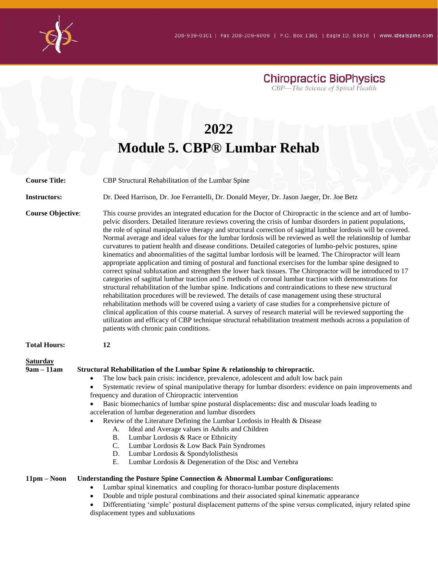**Chiropractic BioPhysics** CBP-The Science of Spinal Health

## **2022 Module 5. CBP® Lumbar Rehab Course Title:** CBP Structural Rehabilitation of the Lumbar Spine **Instructors:** Dr. Deed Harrison, Dr. Joe Ferrantelli, Dr. Donald Meyer, Dr. Jason Jaeger, Dr. Joe Betz **Course Objective:** This course provides an integrated education for the Doctor of Chiropractic in the science and art of lumbopelvic disorders. Detailed literature reviews covering the crisis of lumbar disorders in patient populations, the role of spinal manipulative therapy and structural correction of sagittal lumbar lordosis will be covered. Normal average and ideal values for the lumbar lordosis will be reviewed as well the relationship of lumbar curvatures to patient health and disease conditions. Detailed categories of lumbo-pelvic postures, spine kinematics and abnormalities of the sagittal lumbar lordosis will be learned. The Chiropractor will learn appropriate application and timing of postural and functional exercises for the lumbar spine designed to correct spinal subluxation and strengthen the lower back tissues. The Chiropractor will be introduced to 17 categories of sagittal lumbar traction and 5 methods of coronal lumbar traction with demonstrations for structural rehabilitation of the lumbar spine. Indications and contraindications to these new structural rehabilitation procedures will be reviewed. The details of case management using these structural rehabilitation methods will be covered using a variety of case studies for a comprehensive picture of clinical application of this course material. A survey of research material will be reviewed supporting the utilization and efficacy of CBP technique structural rehabilitation treatment methods across a population of patients with chronic pain conditions. **Total Hours: 12 Saturday 9am – 11am Structural Rehabilitation of the Lumbar Spine & relationship to chiropractic.**  • The low back pain crisis: incidence, prevalence, adolescent and adult low back pain • Systematic review of spinal manipulative therapy for lumbar disorders: evidence on pain improvements and frequency and duration of Chiropractic intervention • Basic biomechanics of lumbar spine postural displacements**:** disc and muscular loads leading to acceleration of lumbar degeneration and lumbar disorders

- Review of the Literature Defining the Lumbar Lordosis in Health & Disease
	- A. Ideal and Average values in Adults and Children
	- B. Lumbar Lordosis & Race or Ethnicity
	- C. Lumbar Lordosis & Low Back Pain Syndromes
	- D. Lumbar Lordosis & Spondylolisthesis
	- E. Lumbar Lordosis & Degeneration of the Disc and Vertebra

## **11pm – Noon Understanding the Posture Spine Connection & Abnormal Lumbar Configurations:**

- Lumbar spinal kinematics and coupling for thoraco-lumbar posture displacements
	- Double and triple postural combinations and their associated spinal kinematic appearance

• Differentiating 'simple' postural displacement patterns of the spine versus complicated, injury related spine displacement types and subluxations